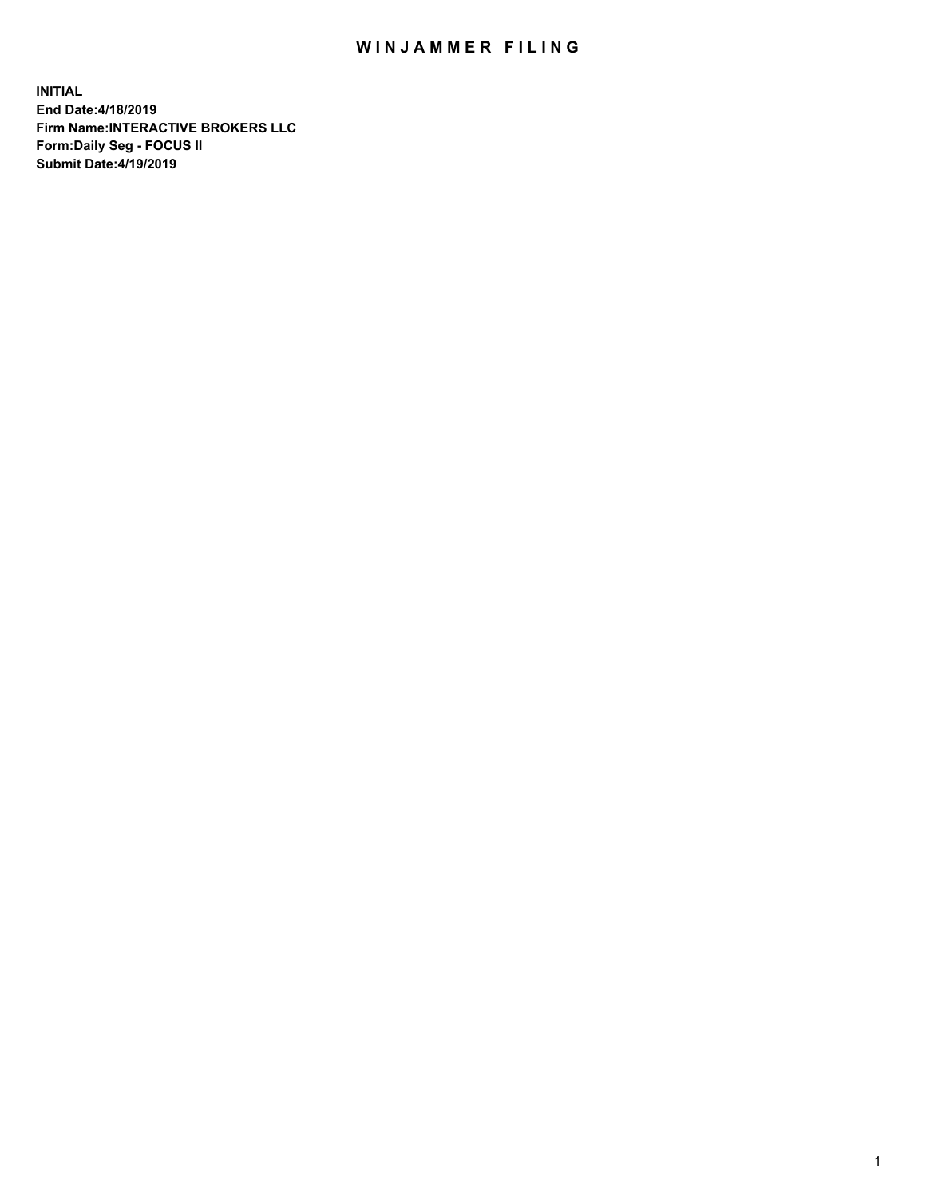## WIN JAMMER FILING

**INITIAL End Date:4/18/2019 Firm Name:INTERACTIVE BROKERS LLC Form:Daily Seg - FOCUS II Submit Date:4/19/2019**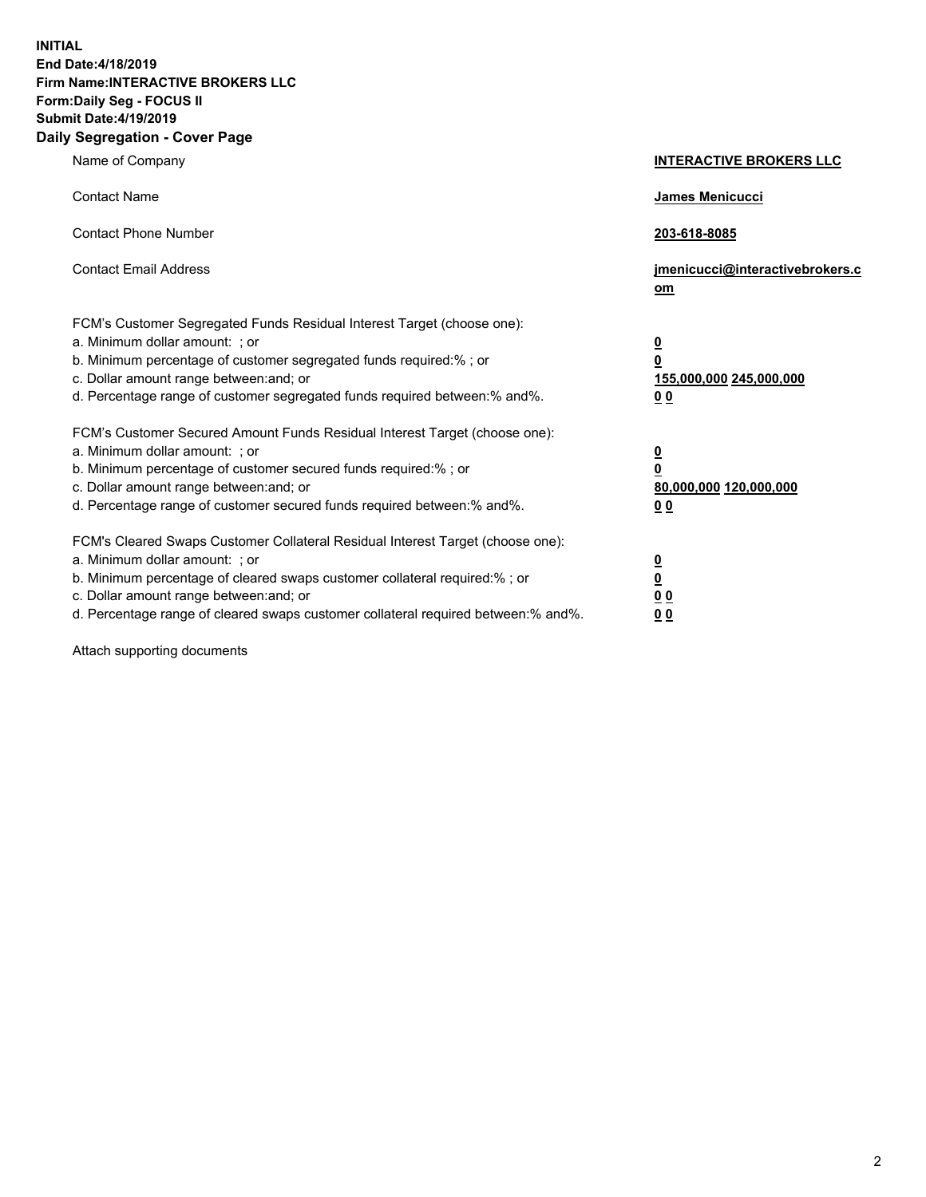**INITIAL End Date:4/18/2019 Firm Name:INTERACTIVE BROKERS LLC Form:Daily Seg - FOCUS II Submit Date:4/19/2019 Daily Segregation - Cover Page**

| Name of Company                                                                                                                                                                                                                                                                                                                | <b>INTERACTIVE BROKERS LLC</b>                                                                  |
|--------------------------------------------------------------------------------------------------------------------------------------------------------------------------------------------------------------------------------------------------------------------------------------------------------------------------------|-------------------------------------------------------------------------------------------------|
| <b>Contact Name</b>                                                                                                                                                                                                                                                                                                            | James Menicucci                                                                                 |
| <b>Contact Phone Number</b>                                                                                                                                                                                                                                                                                                    | 203-618-8085                                                                                    |
| <b>Contact Email Address</b>                                                                                                                                                                                                                                                                                                   | jmenicucci@interactivebrokers.c<br>om                                                           |
| FCM's Customer Segregated Funds Residual Interest Target (choose one):<br>a. Minimum dollar amount: ; or<br>b. Minimum percentage of customer segregated funds required:% ; or<br>c. Dollar amount range between: and; or<br>d. Percentage range of customer segregated funds required between:% and%.                         | $\overline{\mathbf{0}}$<br>$\overline{\mathbf{0}}$<br>155,000,000 245,000,000<br>0 <sub>0</sub> |
| FCM's Customer Secured Amount Funds Residual Interest Target (choose one):<br>a. Minimum dollar amount: ; or<br>b. Minimum percentage of customer secured funds required:% ; or<br>c. Dollar amount range between: and; or<br>d. Percentage range of customer secured funds required between:% and%.                           | $\overline{\mathbf{0}}$<br>0<br>80,000,000 120,000,000<br>0 <sub>0</sub>                        |
| FCM's Cleared Swaps Customer Collateral Residual Interest Target (choose one):<br>a. Minimum dollar amount: ; or<br>b. Minimum percentage of cleared swaps customer collateral required:% ; or<br>c. Dollar amount range between: and; or<br>d. Percentage range of cleared swaps customer collateral required between:% and%. | $\overline{\mathbf{0}}$<br><u>0</u><br>$\underline{0}$ $\underline{0}$<br>00                    |

Attach supporting documents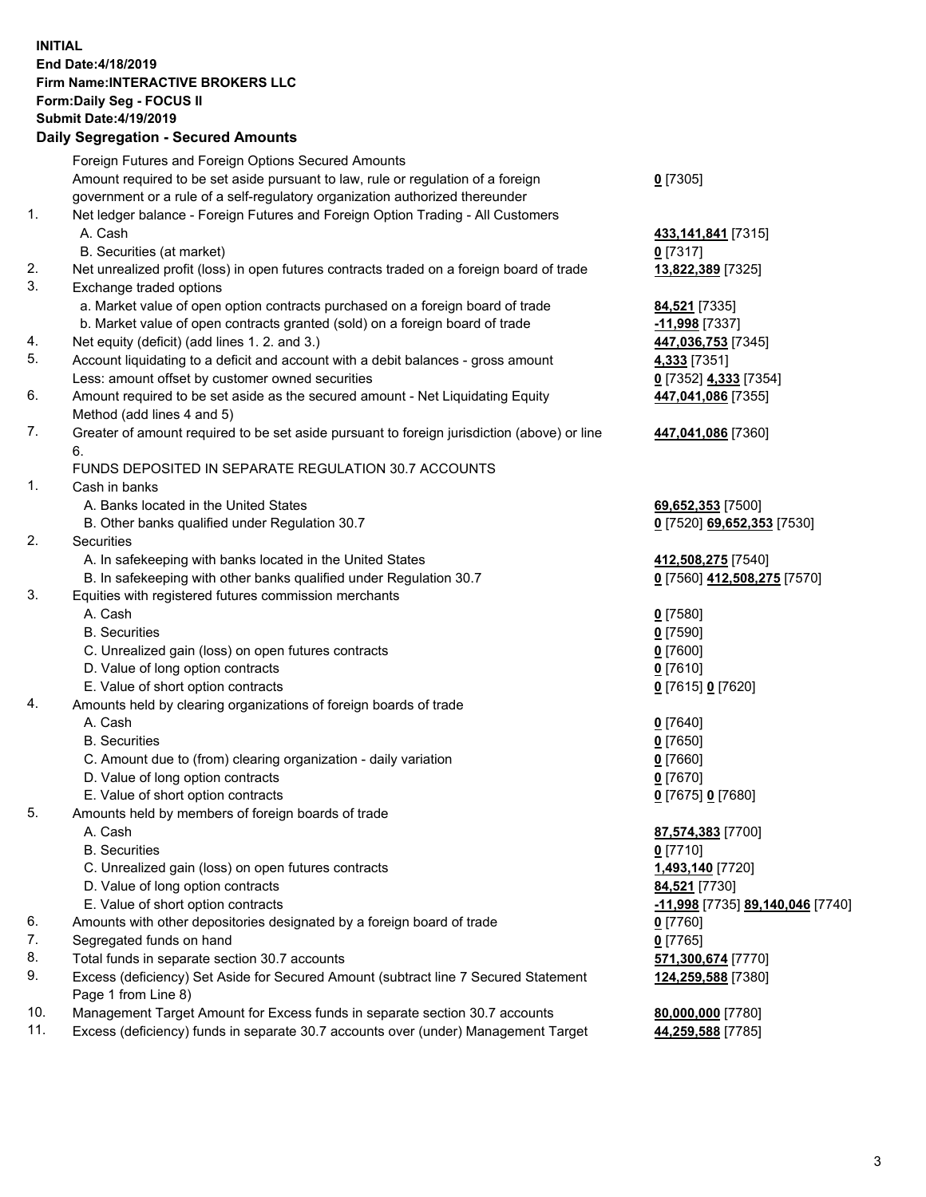## **INITIAL End Date:4/18/2019 Firm Name:INTERACTIVE BROKERS LLC Form:Daily Seg - FOCUS II Submit Date:4/19/2019 Daily Segregation - Secured Amounts**

|     | Daily Segregation - Secured Amounts                                                         |                                  |
|-----|---------------------------------------------------------------------------------------------|----------------------------------|
|     | Foreign Futures and Foreign Options Secured Amounts                                         |                                  |
|     | Amount required to be set aside pursuant to law, rule or regulation of a foreign            | $0$ [7305]                       |
|     | government or a rule of a self-regulatory organization authorized thereunder                |                                  |
| 1.  | Net ledger balance - Foreign Futures and Foreign Option Trading - All Customers             |                                  |
|     | A. Cash                                                                                     | 433, 141, 841 [7315]             |
|     | B. Securities (at market)                                                                   | $0$ [7317]                       |
| 2.  | Net unrealized profit (loss) in open futures contracts traded on a foreign board of trade   | 13,822,389 [7325]                |
| 3.  | Exchange traded options                                                                     |                                  |
|     | a. Market value of open option contracts purchased on a foreign board of trade              | 84,521 [7335]                    |
|     | b. Market value of open contracts granted (sold) on a foreign board of trade                | $-11,998$ [7337]                 |
| 4.  | Net equity (deficit) (add lines 1. 2. and 3.)                                               | 447,036,753 [7345]               |
| 5.  | Account liquidating to a deficit and account with a debit balances - gross amount           | 4,333 [7351]                     |
|     | Less: amount offset by customer owned securities                                            | 0 [7352] 4,333 [7354]            |
| 6.  | Amount required to be set aside as the secured amount - Net Liquidating Equity              | 447,041,086 [7355]               |
|     | Method (add lines 4 and 5)                                                                  |                                  |
| 7.  | Greater of amount required to be set aside pursuant to foreign jurisdiction (above) or line | 447,041,086 [7360]               |
|     | 6.                                                                                          |                                  |
|     | FUNDS DEPOSITED IN SEPARATE REGULATION 30.7 ACCOUNTS                                        |                                  |
| 1.  | Cash in banks                                                                               |                                  |
|     | A. Banks located in the United States                                                       | 69,652,353 [7500]                |
|     | B. Other banks qualified under Regulation 30.7                                              | 0 [7520] 69,652,353 [7530]       |
| 2.  | Securities                                                                                  |                                  |
|     | A. In safekeeping with banks located in the United States                                   | 412,508,275 [7540]               |
|     | B. In safekeeping with other banks qualified under Regulation 30.7                          | 0 [7560] 412,508,275 [7570]      |
| 3.  | Equities with registered futures commission merchants                                       |                                  |
|     | A. Cash                                                                                     | $0$ [7580]                       |
|     | <b>B.</b> Securities                                                                        | $0$ [7590]                       |
|     | C. Unrealized gain (loss) on open futures contracts                                         | $0$ [7600]                       |
|     | D. Value of long option contracts                                                           | $0$ [7610]                       |
|     | E. Value of short option contracts                                                          | 0 [7615] 0 [7620]                |
| 4.  | Amounts held by clearing organizations of foreign boards of trade                           |                                  |
|     | A. Cash                                                                                     | $0$ [7640]                       |
|     | <b>B.</b> Securities                                                                        | $0$ [7650]                       |
|     | C. Amount due to (from) clearing organization - daily variation                             | $0$ [7660]                       |
|     | D. Value of long option contracts                                                           | $0$ [7670]                       |
| 5.  | E. Value of short option contracts                                                          | 0 [7675] 0 [7680]                |
|     | Amounts held by members of foreign boards of trade                                          |                                  |
|     | A. Cash<br><b>B.</b> Securities                                                             | 87,574,383 [7700]<br>$0$ [7710]  |
|     | C. Unrealized gain (loss) on open futures contracts                                         | 1,493,140 [7720]                 |
|     | D. Value of long option contracts                                                           | 84,521 [7730]                    |
|     | E. Value of short option contracts                                                          | -11,998 [7735] 89,140,046 [7740] |
| 6.  | Amounts with other depositories designated by a foreign board of trade                      | 0 [7760]                         |
| 7.  | Segregated funds on hand                                                                    | $0$ [7765]                       |
| 8.  | Total funds in separate section 30.7 accounts                                               | 571,300,674 [7770]               |
| 9.  | Excess (deficiency) Set Aside for Secured Amount (subtract line 7 Secured Statement         | 124,259,588 [7380]               |
|     | Page 1 from Line 8)                                                                         |                                  |
| 10. | Management Target Amount for Excess funds in separate section 30.7 accounts                 | 80,000,000 [7780]                |
| 11. | Excess (deficiency) funds in separate 30.7 accounts over (under) Management Target          | 44,259,588 [7785]                |
|     |                                                                                             |                                  |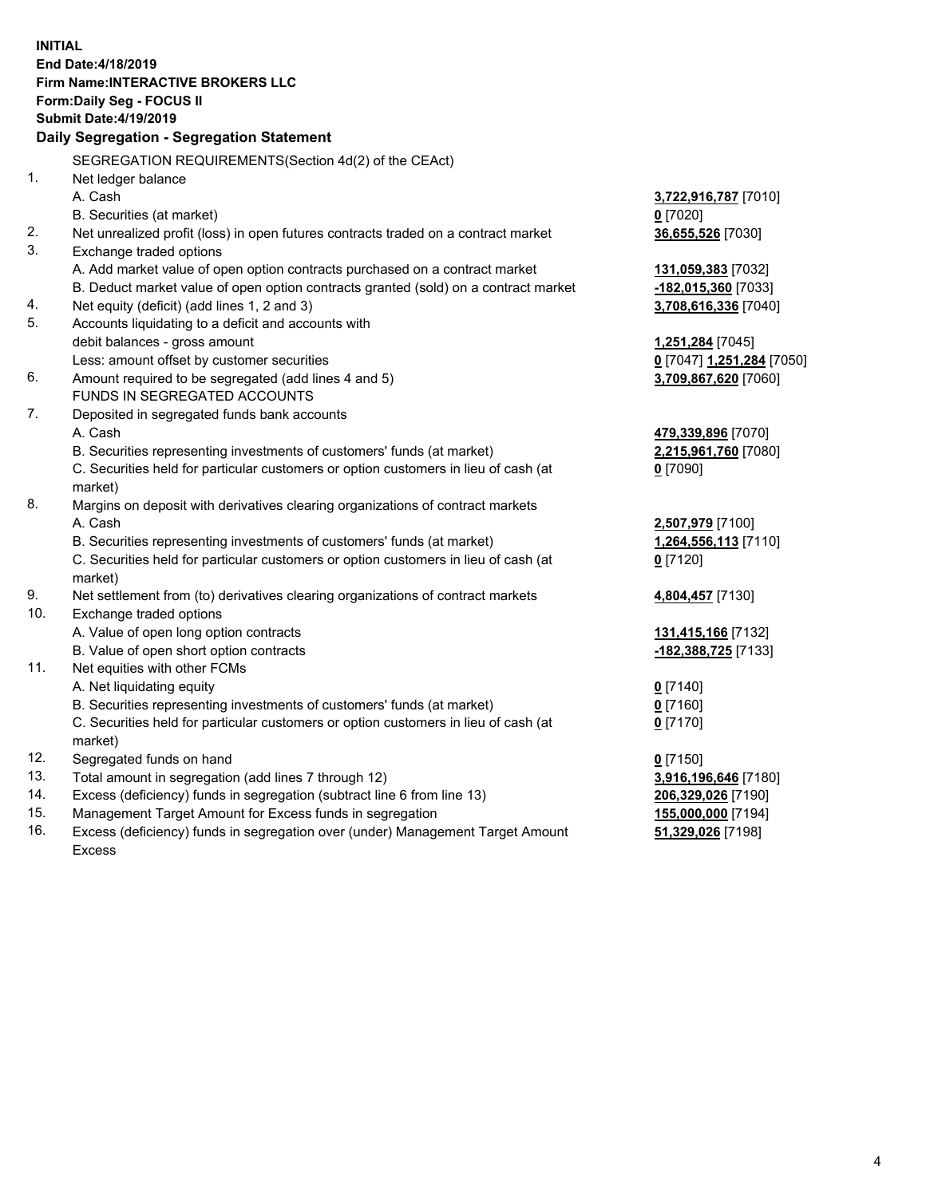**INITIAL End Date:4/18/2019 Firm Name:INTERACTIVE BROKERS LLC Form:Daily Seg - FOCUS II Submit Date:4/19/2019 Daily Segregation - Segregation Statement** SEGREGATION REQUIREMENTS(Section 4d(2) of the CEAct) 1. Net ledger balance A. Cash **3,722,916,787** [7010] B. Securities (at market) **0** [7020] 2. Net unrealized profit (loss) in open futures contracts traded on a contract market **36,655,526** [7030] 3. Exchange traded options A. Add market value of open option contracts purchased on a contract market **131,059,383** [7032] B. Deduct market value of open option contracts granted (sold) on a contract market **-182,015,360** [7033] 4. Net equity (deficit) (add lines 1, 2 and 3) **3,708,616,336** [7040] 5. Accounts liquidating to a deficit and accounts with debit balances - gross amount **1,251,284** [7045] Less: amount offset by customer securities **0** [7047] **1,251,284** [7050] 6. Amount required to be segregated (add lines 4 and 5) **3,709,867,620** [7060] FUNDS IN SEGREGATED ACCOUNTS 7. Deposited in segregated funds bank accounts A. Cash **479,339,896** [7070] B. Securities representing investments of customers' funds (at market) **2,215,961,760** [7080] C. Securities held for particular customers or option customers in lieu of cash (at market) **0** [7090] 8. Margins on deposit with derivatives clearing organizations of contract markets A. Cash **2,507,979** [7100] B. Securities representing investments of customers' funds (at market) **1,264,556,113** [7110] C. Securities held for particular customers or option customers in lieu of cash (at market) **0** [7120] 9. Net settlement from (to) derivatives clearing organizations of contract markets **4,804,457** [7130] 10. Exchange traded options A. Value of open long option contracts **131,415,166** [7132] B. Value of open short option contracts **-182,388,725** [7133] 11. Net equities with other FCMs A. Net liquidating equity **0** [7140] B. Securities representing investments of customers' funds (at market) **0** [7160] C. Securities held for particular customers or option customers in lieu of cash (at market) **0** [7170] 12. Segregated funds on hand **0** [7150] 13. Total amount in segregation (add lines 7 through 12) **3,916,196,646** [7180] 14. Excess (deficiency) funds in segregation (subtract line 6 from line 13) **206,329,026** [7190] 15. Management Target Amount for Excess funds in segregation **155,000,000** [7194]

16. Excess (deficiency) funds in segregation over (under) Management Target Amount Excess

**51,329,026** [7198]